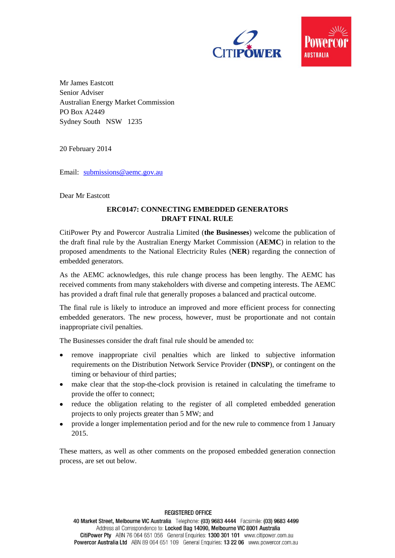



Mr James Eastcott Senior Adviser Australian Energy Market Commission PO Box A2449 Sydney South NSW 1235

20 February 2014

Email: [submissions@aemc.gov.au](mailto:submissions@aemc.gov.au)

Dear Mr Eastcott

## **ERC0147: CONNECTING EMBEDDED GENERATORS DRAFT FINAL RULE**

CitiPower Pty and Powercor Australia Limited (**the Businesses**) welcome the publication of the draft final rule by the Australian Energy Market Commission (**AEMC**) in relation to the proposed amendments to the National Electricity Rules (**NER**) regarding the connection of embedded generators.

As the AEMC acknowledges, this rule change process has been lengthy. The AEMC has received comments from many stakeholders with diverse and competing interests. The AEMC has provided a draft final rule that generally proposes a balanced and practical outcome.

The final rule is likely to introduce an improved and more efficient process for connecting embedded generators. The new process, however, must be proportionate and not contain inappropriate civil penalties.

The Businesses consider the draft final rule should be amended to:

- remove inappropriate civil penalties which are linked to subjective information  $\bullet$ requirements on the Distribution Network Service Provider (**DNSP**), or contingent on the timing or behaviour of third parties;
- make clear that the stop-the-clock provision is retained in calculating the timeframe to provide the offer to connect;
- reduce the obligation relating to the register of all completed embedded generation projects to only projects greater than 5 MW; and
- provide a longer implementation period and for the new rule to commence from 1 January 2015.

These matters, as well as other comments on the proposed embedded generation connection process, are set out below.

**REGISTERED OFFICE** 

40 Market Street, Melbourne VIC Australia Telephone: (03) 9683 4444 Facsimile: (03) 9683 4499 Address all Correspondence to: Locked Bag 14090, Melbourne VIC 8001 Australia CitiPower Pty ABN 76 064 651 056 General Enquiries: 1300 301 101 www.citipower.com.au Powercor Australia Ltd ABN 89 064 651 109 General Enquiries: 13 22 06 www.powercor.com.au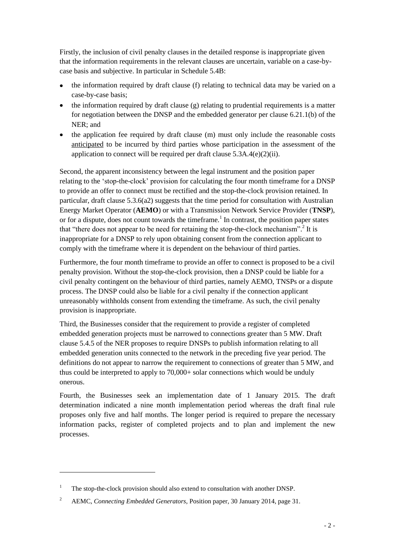Firstly, the inclusion of civil penalty clauses in the detailed response is inappropriate given that the information requirements in the relevant clauses are uncertain, variable on a case-bycase basis and subjective. In particular in Schedule 5.4B:

- $\bullet$ the information required by draft clause (f) relating to technical data may be varied on a case-by-case basis;
- $\bullet$  the information required by draft clause (g) relating to prudential requirements is a matter for negotiation between the DNSP and the embedded generator per clause 6.21.1(b) of the NER; and
- the application fee required by draft clause (m) must only include the reasonable costs anticipated to be incurred by third parties whose participation in the assessment of the application to connect will be required per draft clause  $5.3A.4(e)(2)(ii)$ .

Second, the apparent inconsistency between the legal instrument and the position paper relating to the 'stop-the-clock' provision for calculating the four month timeframe for a DNSP to provide an offer to connect must be rectified and the stop-the-clock provision retained. In particular, draft clause  $5.3.6(a2)$  suggests that the time period for consultation with Australian Energy Market Operator (**AEMO**) or with a Transmission Network Service Provider (**TNSP**), or for a dispute, does not count towards the timeframe.<sup>1</sup> In contrast, the position paper states that "there does not appear to be need for retaining the stop-the-clock mechanism".<sup>2</sup> It is inappropriate for a DNSP to rely upon obtaining consent from the connection applicant to comply with the timeframe where it is dependent on the behaviour of third parties.

Furthermore, the four month timeframe to provide an offer to connect is proposed to be a civil penalty provision. Without the stop-the-clock provision, then a DNSP could be liable for a civil penalty contingent on the behaviour of third parties, namely AEMO, TNSPs or a dispute process. The DNSP could also be liable for a civil penalty if the connection applicant unreasonably withholds consent from extending the timeframe. As such, the civil penalty provision is inappropriate.

Third, the Businesses consider that the requirement to provide a register of completed embedded generation projects must be narrowed to connections greater than 5 MW. Draft clause 5.4.5 of the NER proposes to require DNSPs to publish information relating to all embedded generation units connected to the network in the preceding five year period. The definitions do not appear to narrow the requirement to connections of greater than 5 MW, and thus could be interpreted to apply to 70,000+ solar connections which would be unduly onerous.

Fourth, the Businesses seek an implementation date of 1 January 2015. The draft determination indicated a nine month implementation period whereas the draft final rule proposes only five and half months. The longer period is required to prepare the necessary information packs, register of completed projects and to plan and implement the new processes.

 $\overline{a}$ 

<sup>&</sup>lt;sup>1</sup> The stop-the-clock provision should also extend to consultation with another DNSP.

<sup>&</sup>lt;sup>2</sup> AEMC, *Connecting Embedded Generators*, Position paper, 30 January 2014, page 31.